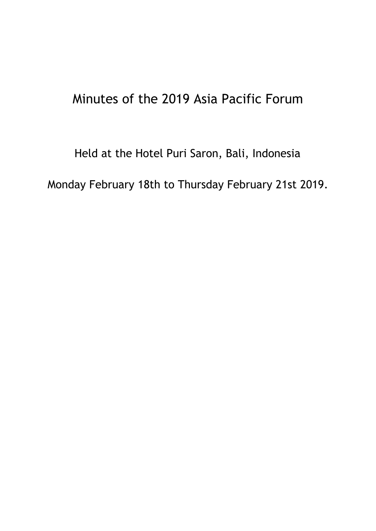# Minutes of the 2019 Asia Pacific Forum

Held at the Hotel Puri Saron, Bali, Indonesia Monday February 18th to Thursday February 21st 2019.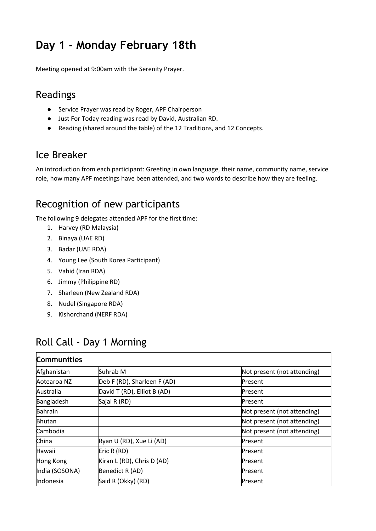# **Day 1 - Monday February 18th**

Meeting opened at 9:00am with the Serenity Prayer.

### Readings

- Service Prayer was read by Roger, APF Chairperson
- Just For Today reading was read by David, Australian RD.
- Reading (shared around the table) of the 12 Traditions, and 12 Concepts.

### Ice Breaker

An introduction from each participant: Greeting in own language, their name, community name, service role, how many APF meetings have been attended, and two words to describe how they are feeling.

### Recognition of new participants

The following 9 delegates attended APF for the first time:

- 1. Harvey (RD Malaysia)
- 2. Binaya (UAE RD)
- 3. Badar (UAE RDA)
- 4. Young Lee (South Korea Participant)
- 5. Vahid (Iran RDA)
- 6. Jimmy (Philippine RD)
- 7. Sharleen (New Zealand RDA)
- 8. Nudel (Singapore RDA)
- 9. Kishorchand (NERF RDA)

### Roll Call - Day 1 Morning

| <b>Communities</b> |                             |                             |
|--------------------|-----------------------------|-----------------------------|
| Afghanistan        | Suhrab M                    | Not present (not attending) |
| Aotearoa NZ        | Deb F (RD), Sharleen F (AD) | Present                     |
| Australia          | David T (RD), Elliot B (AD) | Present                     |
| Bangladesh         | Sajal R (RD)                | Present                     |
| Bahrain            |                             | Not present (not attending) |
| <b>Bhutan</b>      |                             | Not present (not attending) |
| Cambodia           |                             | Not present (not attending) |
| China              | Ryan U (RD), Xue Li (AD)    | Present                     |
| Hawaii             | Eric R (RD)                 | Present                     |
| Hong Kong          | Kiran L (RD), Chris D (AD)  | Present                     |
| India (SOSONA)     | Benedict R (AD)             | Present                     |
| Indonesia          | Said R (Okky) (RD)          | Present                     |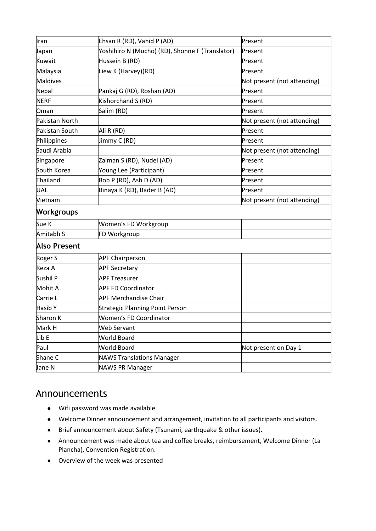| Iran              | Ehsan R (RD), Vahid P (AD)                      | Present                     |
|-------------------|-------------------------------------------------|-----------------------------|
| Japan             | Yoshihiro N (Mucho) (RD), Shonne F (Translator) | Present                     |
| Kuwait            | Hussein B (RD)                                  | Present                     |
| Malaysia          | Liew K (Harvey)(RD)                             | Present                     |
| <b>Maldives</b>   |                                                 | Not present (not attending) |
| Nepal             | Pankaj G (RD), Roshan (AD)                      | Present                     |
| <b>NERF</b>       | Kishorchand S (RD)                              | Present                     |
| Oman              | Salim (RD)                                      | Present                     |
| Pakistan North    |                                                 | Not present (not attending) |
| Pakistan South    | Ali R (RD)                                      | Present                     |
| Philippines       | Jimmy C (RD)                                    | Present                     |
| Saudi Arabia      |                                                 | Not present (not attending) |
| Singapore         | Zaiman S (RD), Nudel (AD)                       | Present                     |
| South Korea       | Young Lee (Participant)                         | Present                     |
| Thailand          | Bob P (RD), Ash D (AD)                          | Present                     |
| <b>UAE</b>        | Binaya K (RD), Bader B (AD)                     | Present                     |
| Vietnam           |                                                 | Not present (not attending) |
| <b>Workgroups</b> |                                                 |                             |
| Sue K             | Women's FD Workgroup                            |                             |
| Amitabh S         | FD Workgroup                                    |                             |
| Also Present      |                                                 |                             |
| Roger S           | <b>APF Chairperson</b>                          |                             |
| Reza A            | <b>APF Secretary</b>                            |                             |
| Sushil P          | <b>APF Treasurer</b>                            |                             |
| Mohit A           | <b>APF FD Coordinator</b>                       |                             |
| Carrie L          | <b>APF Merchandise Chair</b>                    |                             |
| Hasib Y           | <b>Strategic Planning Point Person</b>          |                             |
| Sharon K          | Women's FD Coordinator                          |                             |
| Mark H            | Web Servant                                     |                             |
| Lib E             | <b>World Board</b>                              |                             |
| Paul              | <b>World Board</b>                              | Not present on Day 1        |
| Shane C           | <b>NAWS Translations Manager</b>                |                             |
| Jane N            | <b>NAWS PR Manager</b>                          |                             |

### Announcements

- Wifi password was made available.
- Welcome Dinner announcement and arrangement, invitation to all participants and visitors.
- Brief announcement about Safety (Tsunami, earthquake & other issues).
- Announcement was made about tea and coffee breaks, reimbursement, Welcome Dinner (La Plancha), Convention Registration.
- Overview of the week was presented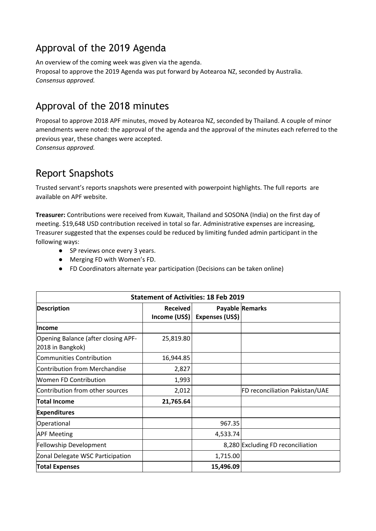## Approval of the 2019 Agenda

An overview of the coming week was given via the agenda. Proposal to approve the 2019 Agenda was put forward by Aotearoa NZ, seconded by Australia. *Consensus approved.*

## Approval of the 2018 minutes

Proposal to approve 2018 APF minutes, moved by Aotearoa NZ, seconded by Thailand. A couple of minor amendments were noted: the approval of the agenda and the approval of the minutes each referred to the previous year, these changes were accepted. *Consensus approved.*

### Report Snapshots

Trusted servant's reports snapshots were presented with powerpoint highlights. The full reports are available on APF website.

**Treasurer:** Contributions were received from Kuwait, Thailand and SOSONA (India) on the first day of meeting. \$19,648 USD contribution received in total so far. Administrative expenses are increasing, Treasurer suggested that the expenses could be reduced by limiting funded admin participant in the following ways:

- SP reviews once every 3 years.
- Merging FD with Women's FD.
- FD Coordinators alternate year participation (Decisions can be taken online)

| <b>Statement of Activities: 18 Feb 2019</b>             |                                  |                 |                                   |  |
|---------------------------------------------------------|----------------------------------|-----------------|-----------------------------------|--|
| <b>Description</b>                                      | <b>Received</b><br>Income (US\$) | Expenses (US\$) | Payable Remarks                   |  |
| <b>Income</b>                                           |                                  |                 |                                   |  |
| Opening Balance (after closing APF-<br>2018 in Bangkok) | 25,819.80                        |                 |                                   |  |
| Communities Contribution                                | 16,944.85                        |                 |                                   |  |
| Contribution from Merchandise                           | 2,827                            |                 |                                   |  |
| <b>Women FD Contribution</b>                            | 1,993                            |                 |                                   |  |
| Contribution from other sources                         | 2,012                            |                 | FD reconciliation Pakistan/UAE    |  |
| <b>Total Income</b>                                     | 21,765.64                        |                 |                                   |  |
| <b>Expenditures</b>                                     |                                  |                 |                                   |  |
| Operational                                             |                                  | 967.35          |                                   |  |
| <b>APF Meeting</b>                                      |                                  | 4,533.74        |                                   |  |
| Fellowship Development                                  |                                  |                 | 8,280 Excluding FD reconciliation |  |
| Zonal Delegate WSC Participation                        |                                  | 1,715.00        |                                   |  |
| <b>Total Expenses</b>                                   |                                  | 15,496.09       |                                   |  |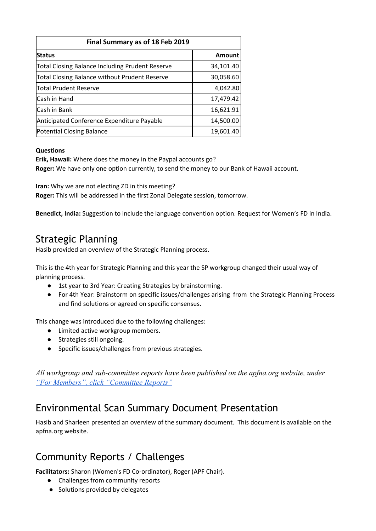| Final Summary as of 18 Feb 2019                        |           |  |
|--------------------------------------------------------|-----------|--|
| <b>Status</b>                                          | Amount    |  |
| <b>Total Closing Balance Including Prudent Reserve</b> | 34,101.40 |  |
| Total Closing Balance without Prudent Reserve          | 30,058.60 |  |
| <b>Total Prudent Reserve</b>                           | 4,042.80  |  |
| Cash in Hand                                           | 17,479.42 |  |
| Cash in Bank                                           | 16,621.91 |  |
| Anticipated Conference Expenditure Payable             | 14,500.00 |  |
| Potential Closing Balance                              | 19,601.40 |  |

### **Questions**

**Erik, Hawaii:** Where does the money in the Paypal accounts go? **Roger:** We have only one option currently, to send the money to our Bank of Hawaii account.

**Iran:** Why we are not electing ZD in this meeting?

**Roger:** This will be addressed in the first Zonal Delegate session, tomorrow.

**Benedict, India:** Suggestion to include the language convention option. Request for Women's FD in India.

### Strategic Planning

Hasib provided an overview of the Strategic Planning process.

This is the 4th year for Strategic Planning and this year the SP workgroup changed their usual way of planning process.

- 1st year to 3rd Year: Creating Strategies by brainstorming.
- For 4th Year: Brainstorm on specific issues/challenges arising from the Strategic Planning Process and find solutions or agreed on specific consensus.

This change was introduced due to the following challenges:

- Limited active workgroup members.
- Strategies still ongoing.
- Specific issues/challenges from previous strategies.

*All workgroup and sub-committee reports have been published on the apfna.org website, under ["For Members", click "Committee Reports"](https://www.apfna.org/committee-reports)*

### Environmental Scan Summary Document Presentation

Hasib and Sharleen presented an overview of the summary document. This document is available on the apfna.org website.

### Community Reports / Challenges

**Facilitators:** Sharon (Women's FD Co-ordinator), Roger (APF Chair).

- Challenges from community reports
- Solutions provided by delegates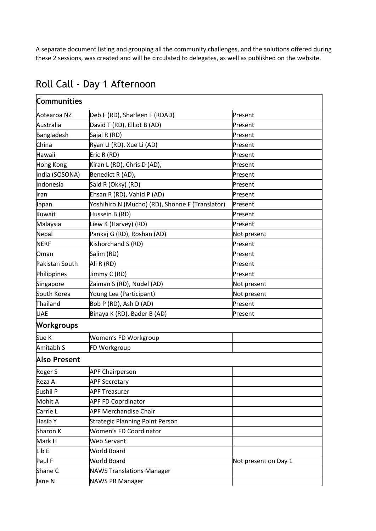A separate document listing and grouping all the community challenges, and the solutions offered during these 2 sessions, was created and will be circulated to delegates, as well as published on the website.

| Communities         |                                                 |                      |  |
|---------------------|-------------------------------------------------|----------------------|--|
| Aotearoa NZ         | Deb F (RD), Sharleen F (RDAD)                   | Present              |  |
| Australia           | David T (RD), Elliot B (AD)                     | Present              |  |
| Bangladesh          | Sajal R (RD)                                    | Present              |  |
| China               | Ryan U (RD), Xue Li (AD)                        | Present              |  |
| Hawaii              | Eric R (RD)                                     | Present              |  |
| <b>Hong Kong</b>    | Kiran L (RD), Chris D (AD),                     | Present              |  |
| India (SOSONA)      | Benedict R (AD),                                | Present              |  |
| Indonesia           | Said R (Okky) (RD)                              | Present              |  |
| Iran                | Ehsan R (RD), Vahid P (AD)                      | Present              |  |
| Japan               | Yoshihiro N (Mucho) (RD), Shonne F (Translator) | Present              |  |
| Kuwait              | Hussein B (RD)                                  | Present              |  |
| Malaysia            | Liew K (Harvey) (RD)                            | Present              |  |
| Nepal               | Pankaj G (RD), Roshan (AD)                      | Not present          |  |
| <b>NERF</b>         | Kishorchand S (RD)                              | Present              |  |
| Oman                | Salim (RD)                                      | Present              |  |
| Pakistan South      | Ali R (RD)                                      | Present              |  |
| Philippines         | Jimmy C (RD)                                    | Present              |  |
| Singapore           | Zaiman S (RD), Nudel (AD)                       | Not present          |  |
| South Korea         | Young Lee (Participant)                         | Not present          |  |
| Thailand            | Bob P (RD), Ash D (AD)                          | Present              |  |
| <b>UAE</b>          | Binaya K (RD), Bader B (AD)                     | Present              |  |
| <b>Workgroups</b>   |                                                 |                      |  |
| Sue K               | Women's FD Workgroup                            |                      |  |
| Amitabh S           | FD Workgroup                                    |                      |  |
| <b>Also Present</b> |                                                 |                      |  |
| Roger S             | <b>APF Chairperson</b>                          |                      |  |
| Reza A              | <b>APF Secretary</b>                            |                      |  |
| Sushil P            | <b>APF Treasurer</b>                            |                      |  |
| Mohit A             | <b>APF FD Coordinator</b>                       |                      |  |
| Carrie L            | <b>APF Merchandise Chair</b>                    |                      |  |
| Hasib Y             | <b>Strategic Planning Point Person</b>          |                      |  |
| Sharon K            | <b>Women's FD Coordinator</b>                   |                      |  |
| Mark H              | Web Servant                                     |                      |  |
| Lib E               | <b>World Board</b>                              |                      |  |
| Paul F              | <b>World Board</b>                              | Not present on Day 1 |  |
| Shane C             | <b>NAWS Translations Manager</b>                |                      |  |
| Jane N              | <b>NAWS PR Manager</b>                          |                      |  |

## Roll Call - Day 1 Afternoon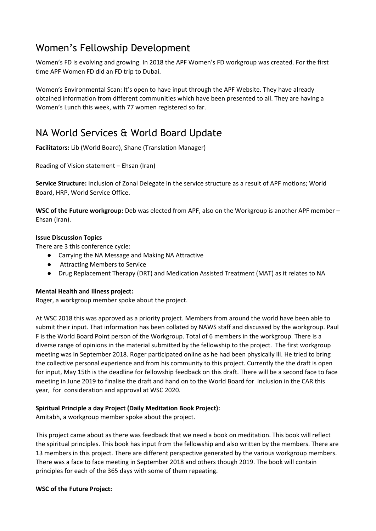## Women's Fellowship Development

Women's FD is evolving and growing. In 2018 the APF Women's FD workgroup was created. For the first time APF Women FD did an FD trip to Dubai.

Women's Environmental Scan: It's open to have input through the APF Website. They have already obtained information from different communities which have been presented to all. They are having a Women's Lunch this week, with 77 women registered so far.

## NA World Services & World Board Update

**Facilitators:** Lib (World Board), Shane (Translation Manager)

Reading of Vision statement – Ehsan (Iran)

**Service Structure:** Inclusion of Zonal Delegate in the service structure as a result of APF motions; World Board, HRP, World Service Office.

**WSC of the Future workgroup:** Deb was elected from APF, also on the Workgroup is another APF member – Ehsan (Iran).

#### **Issue Discussion Topics**

There are 3 this conference cycle:

- Carrying the NA Message and Making NA Attractive
- **Attracting Members to Service**
- Drug Replacement Therapy (DRT) and Medication Assisted Treatment (MAT) as it relates to NA

### **Mental Health and Illness project:**

Roger, a workgroup member spoke about the project.

At WSC 2018 this was approved as a priority project. Members from around the world have been able to submit their input. That information has been collated by NAWS staff and discussed by the workgroup. Paul F is the World Board Point person of the Workgroup. Total of 6 members in the workgroup. There is a diverse range of opinions in the material submitted by the fellowship to the project. The first workgroup meeting was in September 2018. Roger participated online as he had been physically ill. He tried to bring the collective personal experience and from his community to this project. Currently the the draft is open for input, May 15th is the deadline for fellowship feedback on this draft. There will be a second face to face meeting in June 2019 to finalise the draft and hand on to the World Board for inclusion in the CAR this year, for consideration and approval at WSC 2020.

### **Spiritual Principle a day Project (Daily Meditation Book Project):**

Amitabh, a workgroup member spoke about the project.

This project came about as there was feedback that we need a book on meditation. This book will reflect the spiritual principles. This book has input from the fellowship and also written by the members. There are 13 members in this project. There are different perspective generated by the various workgroup members. There was a face to face meeting in September 2018 and others though 2019. The book will contain principles for each of the 365 days with some of them repeating.

#### **WSC of the Future Project:**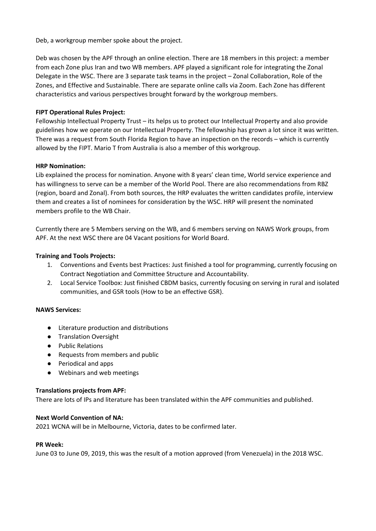Deb, a workgroup member spoke about the project.

Deb was chosen by the APF through an online election. There are 18 members in this project: a member from each Zone plus Iran and two WB members. APF played a significant role for integrating the Zonal Delegate in the WSC. There are 3 separate task teams in the project – Zonal Collaboration, Role of the Zones, and Effective and Sustainable. There are separate online calls via Zoom. Each Zone has different characteristics and various perspectives brought forward by the workgroup members.

#### **FIPT Operational Rules Project:**

Fellowship Intellectual Property Trust – its helps us to protect our Intellectual Property and also provide guidelines how we operate on our Intellectual Property. The fellowship has grown a lot since it was written. There was a request from South Florida Region to have an inspection on the records – which is currently allowed by the FIPT. Mario T from Australia is also a member of this workgroup.

#### **HRP Nomination:**

Lib explained the process for nomination. Anyone with 8 years' clean time, World service experience and has willingness to serve can be a member of the World Pool. There are also recommendations from RBZ (region, board and Zonal). From both sources, the HRP evaluates the written candidates profile, interview them and creates a list of nominees for consideration by the WSC. HRP will present the nominated members profile to the WB Chair.

Currently there are 5 Members serving on the WB, and 6 members serving on NAWS Work groups, from APF. At the next WSC there are 04 Vacant positions for World Board.

#### **Training and Tools Projects:**

- 1. Conventions and Events best Practices: Just finished a tool for programming, currently focusing on Contract Negotiation and Committee Structure and Accountability.
- 2. Local Service Toolbox: Just finished CBDM basics, currently focusing on serving in rural and isolated communities, and GSR tools (How to be an effective GSR).

#### **NAWS Services:**

- Literature production and distributions
- Translation Oversight
- Public Relations
- Requests from members and public
- Periodical and apps
- Webinars and web meetings

#### **Translations projects from APF:**

There are lots of IPs and literature has been translated within the APF communities and published.

#### **Next World Convention of NA:**

2021 WCNA will be in Melbourne, Victoria, dates to be confirmed later.

#### **PR Week:**

June 03 to June 09, 2019, this was the result of a motion approved (from Venezuela) in the 2018 WSC.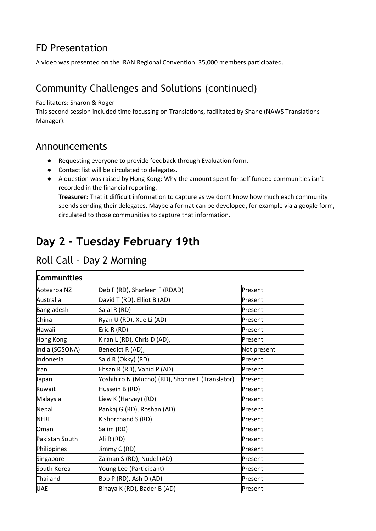## FD Presentation

A video was presented on the IRAN Regional Convention. 35,000 members participated.

## Community Challenges and Solutions (continued)

Facilitators: Sharon & Roger

This second session included time focussing on Translations, facilitated by Shane (NAWS Translations Manager).

### Announcements

- Requesting everyone to provide feedback through Evaluation form.
- Contact list will be circulated to delegates.
- A question was raised by Hong Kong: Why the amount spent for self funded communities isn't recorded in the financial reporting. **Treasurer:** That it difficult information to capture as we don't know how much each community spends sending their delegates. Maybe a format can be developed, for example via a google form, circulated to those communities to capture that information.

# **Day 2 - Tuesday February 19th**

| <b>Communities</b> |                                                 |             |
|--------------------|-------------------------------------------------|-------------|
| Aotearoa NZ        | Deb F (RD), Sharleen F (RDAD)                   | Present     |
| Australia          | David T (RD), Elliot B (AD)                     | Present     |
| Bangladesh         | Sajal R (RD)                                    | Present     |
| China              | Ryan U (RD), Xue Li (AD)                        | Present     |
| Hawaii             | Eric R (RD)                                     | Present     |
| <b>Hong Kong</b>   | Kiran L (RD), Chris D (AD),                     | Present     |
| India (SOSONA)     | Benedict R (AD),                                | Not present |
| Indonesia          | Said R (Okky) (RD)                              | Present     |
| Iran               | Ehsan R (RD), Vahid P (AD)                      | Present     |
| Japan              | Yoshihiro N (Mucho) (RD), Shonne F (Translator) | Present     |
| Kuwait             | Hussein B (RD)                                  | Present     |
| Malaysia           | Liew K (Harvey) (RD)                            | Present     |
| Nepal              | Pankaj G (RD), Roshan (AD)                      | Present     |
| <b>NERF</b>        | Kishorchand S (RD)                              | Present     |
| Oman               | Salim (RD)                                      | Present     |
| Pakistan South     | Ali R (RD)                                      | Present     |
| Philippines        | Jimmy C (RD)                                    | Present     |
| Singapore          | Zaiman S (RD), Nudel (AD)                       | Present     |
| South Korea        | Young Lee (Participant)                         | Present     |
| Thailand           | Bob P (RD), Ash D (AD)                          | Present     |
| <b>UAE</b>         | Binaya K (RD), Bader B (AD)                     | Present     |

### Roll Call - Day 2 Morning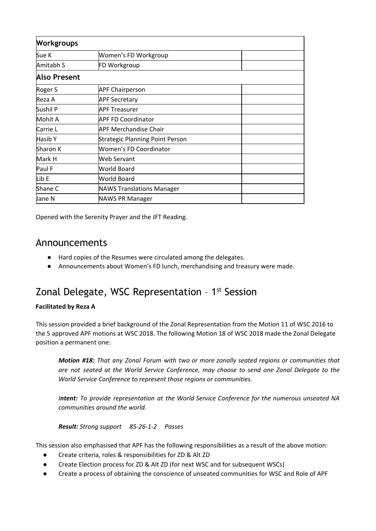| <b>Workgroups</b>   |                                        |  |
|---------------------|----------------------------------------|--|
| Sue K               | Women's FD Workgroup                   |  |
| Amitabh S           | FD Workgroup                           |  |
| <b>Also Present</b> |                                        |  |
| Roger S             | <b>APF Chairperson</b>                 |  |
| Reza A              | <b>APF Secretary</b>                   |  |
| Sushil P            | <b>APF Treasurer</b>                   |  |
| Mohit A             | <b>APF FD Coordinator</b>              |  |
| Carrie L            | <b>APF Merchandise Chair</b>           |  |
| Hasib Y             | <b>Strategic Planning Point Person</b> |  |
| Sharon K            | <b>Women's FD Coordinator</b>          |  |
| Mark H              | <b>Web Servant</b>                     |  |
| Paul F              | World Board                            |  |
| Lib E               | World Board                            |  |
| Shane C             | <b>NAWS Translations Manager</b>       |  |
| Jane N              | <b>NAWS PR Manager</b>                 |  |

Opened with the Serenity Prayer and the JFT Reading.

### Announcements

- Hard copies of the Resumes were circulated among the delegates.
- Announcements about Women's FD lunch, merchandising and treasury were made.

### Zonal Delegate, WSC Representation - 1<sup>st</sup> Session

### **Facilitated by Reza A**

This session provided a brief background of the Zonal Representation from the Motion 11 of WSC 2016 to the 5 approved APF motions at WSC 2018. The following Motion 18 of WSC 2018 made the Zonal Delegate position a permanent one:

*Motion #18: That any Zonal Forum with two or more zonally seated regions or communities that are not seated at the World Service Conference, may choose to send one Zonal Delegate to the World Service Conference to represent those regions or communities.*

*Intent: To provide representation at the World Service Conference for the numerous unseated NA communities around the world.*

*Result: Strong support 85-26-1-2 Passes*

This session also emphasised that APF has the following responsibilities as a result of the above motion:

- Create criteria, roles & responsibilities for ZD & Alt ZD
- Create Election process for ZD & Alt ZD (for next WSC and for subsequent WSCs)
- Create a process of obtaining the conscience of unseated communities for WSC and Role of APF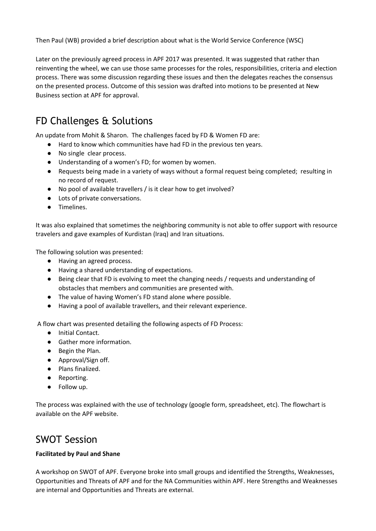Then Paul (WB) provided a brief description about what is the World Service Conference (WSC)

Later on the previously agreed process in APF 2017 was presented. It was suggested that rather than reinventing the wheel, we can use those same processes for the roles, responsibilities, criteria and election process. There was some discussion regarding these issues and then the delegates reaches the consensus on the presented process. Outcome of this session was drafted into motions to be presented at New Business section at APF for approval.

## FD Challenges & Solutions

An update from Mohit & Sharon. The challenges faced by FD & Women FD are:

- Hard to know which communities have had FD in the previous ten years.
- No single clear process.
- Understanding of a women's FD; for women by women.
- Requests being made in a variety of ways without a formal request being completed; resulting in no record of request.
- No pool of available travellers / is it clear how to get involved?
- Lots of private conversations.
- Timelines.

It was also explained that sometimes the neighboring community is not able to offer support with resource travelers and gave examples of Kurdistan (Iraq) and Iran situations.

The following solution was presented:

- Having an agreed process.
- Having a shared understanding of expectations.
- Being clear that FD is evolving to meet the changing needs / requests and understanding of obstacles that members and communities are presented with.
- The value of having Women's FD stand alone where possible.
- Having a pool of available travellers, and their relevant experience.

A flow chart was presented detailing the following aspects of FD Process:

- Initial Contact.
- Gather more information.
- Begin the Plan.
- Approval/Sign off.
- Plans finalized.
- Reporting.
- Follow up.

The process was explained with the use of technology (google form, spreadsheet, etc). The flowchart is available on the APF website.

### SWOT Session

### **Facilitated by Paul and Shane**

A workshop on SWOT of APF. Everyone broke into small groups and identified the Strengths, Weaknesses, Opportunities and Threats of APF and for the NA Communities within APF. Here Strengths and Weaknesses are internal and Opportunities and Threats are external.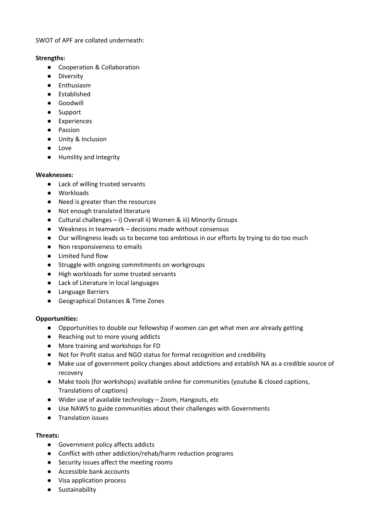#### SWOT of APF are collated underneath:

#### **Strengths:**

- Cooperation & Collaboration
- Diversity
- Enthusiasm
- Established
- Goodwill
- Support
- Experiences
- Passion
- Unity & Inclusion
- Love
- Humility and Integrity

### **Weaknesses:**

- Lack of willing trusted servants
- Workloads
- Need is greater than the resources
- Not enough translated literature
- Cultural challenges i) Overall ii) Women & iii) Minority Groups
- Weakness in teamwork decisions made without consensus
- Our willingness leads us to become too ambitious in our efforts by trying to do too much
- Non responsiveness to emails
- Limited fund flow
- Struggle with ongoing commitments on workgroups
- High workloads for some trusted servants
- Lack of Literature in local languages
- Language Barriers
- Geographical Distances & Time Zones

### **Opportunities:**

- Opportunities to double our fellowship if women can get what men are already getting
- Reaching out to more young addicts
- More training and workshops for FD
- Not for Profit status and NGO status for formal recognition and credibility
- Make use of government policy changes about addictions and establish NA as a credible source of recovery
- Make tools (for workshops) available online for communities (youtube & closed captions, Translations of captions)
- Wider use of available technology Zoom, Hangouts, etc
- Use NAWS to guide communities about their challenges with Governments
- Translation issues

### **Threats:**

- Government policy affects addicts
- Conflict with other addiction/rehab/harm reduction programs
- Security issues affect the meeting rooms
- Accessible bank accounts
- Visa application process
- Sustainability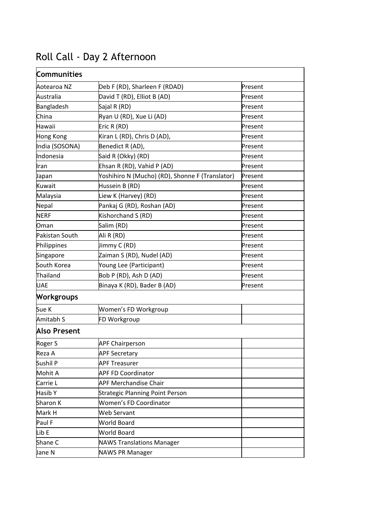| <b>Communities</b>  |                                                 |         |
|---------------------|-------------------------------------------------|---------|
| Aotearoa NZ         | Deb F (RD), Sharleen F (RDAD)                   | Present |
| Australia           | David T (RD), Elliot B (AD)                     | Present |
| Bangladesh          | Sajal R (RD)                                    | Present |
| China               | Ryan U (RD), Xue Li (AD)                        | Present |
| Hawaii              | Eric R (RD)                                     | Present |
| <b>Hong Kong</b>    | Kiran L (RD), Chris D (AD),                     | Present |
| India (SOSONA)      | Benedict R (AD),                                | Present |
| Indonesia           | Said R (Okky) (RD)                              | Present |
| Iran                | Ehsan R (RD), Vahid P (AD)                      | Present |
| Japan               | Yoshihiro N (Mucho) (RD), Shonne F (Translator) | Present |
| Kuwait              | Hussein B (RD)                                  | Present |
| Malaysia            | Liew K (Harvey) (RD)                            | Present |
| Nepal               | Pankaj G (RD), Roshan (AD)                      | Present |
| <b>NERF</b>         | Kishorchand S (RD)                              | Present |
| Oman                | Salim (RD)                                      | Present |
| Pakistan South      | Ali R (RD)                                      | Present |
| Philippines         | Jimmy C (RD)                                    | Present |
| Singapore           | Zaiman S (RD), Nudel (AD)                       | Present |
| South Korea         | Young Lee (Participant)                         | Present |
| Thailand            | Bob P (RD), Ash D (AD)                          | Present |
| <b>UAE</b>          | Binaya K (RD), Bader B (AD)                     | Present |
| <b>Workgroups</b>   |                                                 |         |
| Sue K               | Women's FD Workgroup                            |         |
| Amitabh S           | FD Workgroup                                    |         |
| <b>Also Present</b> |                                                 |         |
| Roger S             | <b>APF Chairperson</b>                          |         |
| Reza A              | <b>APF Secretary</b>                            |         |
| Sushil P            | <b>APF Treasurer</b>                            |         |
| Mohit A             | <b>APF FD Coordinator</b>                       |         |
| Carrie L            | <b>APF Merchandise Chair</b>                    |         |
| Hasib Y             | <b>Strategic Planning Point Person</b>          |         |
| Sharon K            | <b>Women's FD Coordinator</b>                   |         |
| Mark H              | <b>Web Servant</b>                              |         |
| Paul F              | World Board                                     |         |
| Lib E               | World Board                                     |         |
| Shane C             | <b>NAWS Translations Manager</b>                |         |
| Jane N              | <b>NAWS PR Manager</b>                          |         |

# Roll Call - Day 2 Afternoon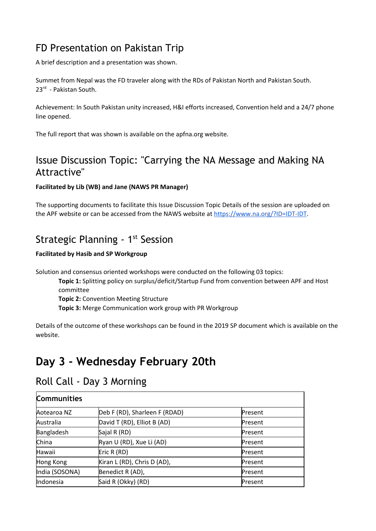## FD Presentation on Pakistan Trip

A brief description and a presentation was shown.

Summet from Nepal was the FD traveler along with the RDs of Pakistan North and Pakistan South. 23<sup>rd</sup> - Pakistan South.

Achievement: In South Pakistan unity increased, H&I efforts increased, Convention held and a 24/7 phone line opened.

The full report that was shown is available on the apfna.org website.

### Issue Discussion Topic: "Carrying the NA Message and Making NA Attractive"

### **Facilitated by Lib (WB) and Jane (NAWS PR Manager)**

The supporting documents to facilitate this Issue Discussion Topic Details of the session are uploaded on the APF website or can be accessed from the NAWS website at <https://www.na.org/?ID=IDT-IDT>.

### Strategic Planning - 1<sup>st</sup> Session

### **Facilitated by Hasib and SP Workgroup**

Solution and consensus oriented workshops were conducted on the following 03 topics:

**Topic 1:** Splitting policy on surplus/deficit/Startup Fund from convention between APF and Host committee

**Topic 2:** Convention Meeting Structure

**Topic 3:** Merge Communication work group with PR Workgroup

Details of the outcome of these workshops can be found in the 2019 SP document which is available on the website.

# **Day 3 - Wednesday February 20th**

### Roll Call - Day 3 Morning

| <b>Communities</b> |                               |         |
|--------------------|-------------------------------|---------|
| Aotearoa NZ        | Deb F (RD), Sharleen F (RDAD) | Present |
| Australia          | David T (RD), Elliot B (AD)   | Present |
| Bangladesh         | Sajal R (RD)                  | Present |
| China              | Ryan U (RD), Xue Li (AD)      | Present |
| Hawaii             | Eric R (RD)                   | Present |
| Hong Kong          | Kiran L (RD), Chris D (AD),   | Present |
| India (SOSONA)     | Benedict R (AD),              | Present |
| Indonesia          | Said R (Okky) (RD)            | Present |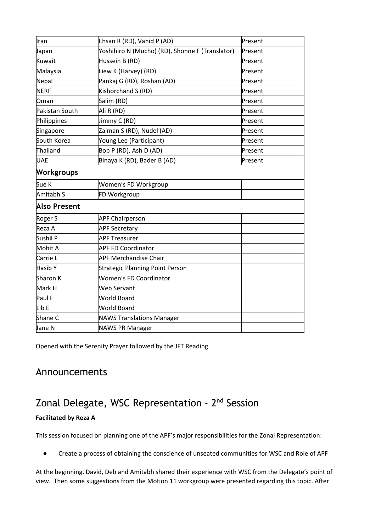| Iran                | Ehsan R (RD), Vahid P (AD)                      | Present |
|---------------------|-------------------------------------------------|---------|
| Japan               | Yoshihiro N (Mucho) (RD), Shonne F (Translator) | Present |
| Kuwait              | Hussein B (RD)                                  | Present |
| Malaysia            | Liew K (Harvey) (RD)                            | Present |
| Nepal               | Pankaj G (RD), Roshan (AD)                      | Present |
| <b>NERF</b>         | Kishorchand S (RD)                              | Present |
| Oman                | Salim (RD)                                      | Present |
| Pakistan South      | Ali R (RD)                                      | Present |
| Philippines         | Jimmy C (RD)                                    | Present |
| Singapore           | Zaiman S (RD), Nudel (AD)                       | Present |
| South Korea         | Young Lee (Participant)                         | Present |
| Thailand            | Bob P (RD), Ash D (AD)                          | Present |
| <b>UAE</b>          | Binaya K (RD), Bader B (AD)                     | Present |
| <b>Workgroups</b>   |                                                 |         |
| Sue K               | Women's FD Workgroup                            |         |
| Amitabh S           | FD Workgroup                                    |         |
| <b>Also Present</b> |                                                 |         |
| Roger S             | <b>APF Chairperson</b>                          |         |
| Reza A              | <b>APF Secretary</b>                            |         |
| Sushil P            | <b>APF Treasurer</b>                            |         |
| Mohit A             | <b>APF FD Coordinator</b>                       |         |
| Carrie L            | <b>APF Merchandise Chair</b>                    |         |
| Hasib Y             | <b>Strategic Planning Point Person</b>          |         |
| Sharon K            | <b>Women's FD Coordinator</b>                   |         |
| Mark H              | Web Servant                                     |         |
| Paul F              | <b>World Board</b>                              |         |
| Lib E               | <b>World Board</b>                              |         |
| Shane C             | <b>NAWS Translations Manager</b>                |         |
| Jane N              | <b>NAWS PR Manager</b>                          |         |
|                     |                                                 |         |

Opened with the Serenity Prayer followed by the JFT Reading.

### Announcements

## Zonal Delegate, WSC Representation - 2<sup>nd</sup> Session

### **Facilitated by Reza A**

This session focused on planning one of the APF's major responsibilities for the Zonal Representation:

Create a process of obtaining the conscience of unseated communities for WSC and Role of APF

At the beginning, David, Deb and Amitabh shared their experience with WSC from the Delegate's point of view. Then some suggestions from the Motion 11 workgroup were presented regarding this topic. After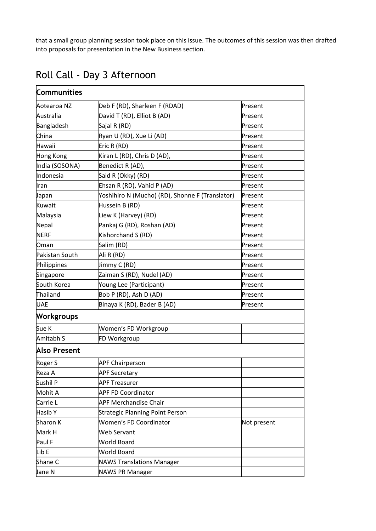that a small group planning session took place on this issue. The outcomes of this session was then drafted into proposals for presentation in the New Business section.

| <b>Communities</b>  |                                                 |             |
|---------------------|-------------------------------------------------|-------------|
|                     |                                                 |             |
| Aotearoa NZ         | Deb F (RD), Sharleen F (RDAD)                   | Present     |
| Australia           | David T (RD), Elliot B (AD)                     | Present     |
| Bangladesh          | Sajal R (RD)                                    | Present     |
| China               | Ryan U (RD), Xue Li (AD)                        | Present     |
| Hawaii              | Eric R (RD)                                     | Present     |
| <b>Hong Kong</b>    | Kiran L (RD), Chris D (AD),                     | Present     |
| India (SOSONA)      | Benedict R (AD),                                | Present     |
| Indonesia           | Said R (Okky) (RD)                              | Present     |
| Iran                | Ehsan R (RD), Vahid P (AD)                      | Present     |
| Japan               | Yoshihiro N (Mucho) (RD), Shonne F (Translator) | Present     |
| Kuwait              | Hussein B (RD)                                  | Present     |
| Malaysia            | Liew K (Harvey) (RD)                            | Present     |
| Nepal               | Pankaj G (RD), Roshan (AD)                      | Present     |
| <b>NERF</b>         | Kishorchand S (RD)                              | Present     |
| Oman                | Salim (RD)                                      | Present     |
| Pakistan South      | Ali R (RD)                                      | Present     |
| Philippines         | Jimmy C (RD)                                    | Present     |
| Singapore           | Zaiman S (RD), Nudel (AD)                       | Present     |
| South Korea         | Young Lee (Participant)                         | Present     |
| Thailand            | Bob P (RD), Ash D (AD)                          | Present     |
| <b>UAE</b>          | Binaya K (RD), Bader B (AD)                     | Present     |
| <b>Workgroups</b>   |                                                 |             |
| Sue K               | Women's FD Workgroup                            |             |
| Amitabh S           | FD Workgroup                                    |             |
| <b>Also Present</b> |                                                 |             |
| Roger S             | <b>APF Chairperson</b>                          |             |
| Reza A              | <b>APF Secretary</b>                            |             |
| Sushil P            | <b>APF Treasurer</b>                            |             |
| Mohit A             | <b>APF FD Coordinator</b>                       |             |
| Carrie L            | <b>APF Merchandise Chair</b>                    |             |
| Hasib Y             | <b>Strategic Planning Point Person</b>          |             |
| Sharon K            | Women's FD Coordinator                          | Not present |
| Mark H              | <b>Web Servant</b>                              |             |
| Paul F              | <b>World Board</b>                              |             |
| Lib E               | <b>World Board</b>                              |             |
| Shane C             | <b>NAWS Translations Manager</b>                |             |
| Jane N              | <b>NAWS PR Manager</b>                          |             |

# Roll Call - Day 3 Afternoon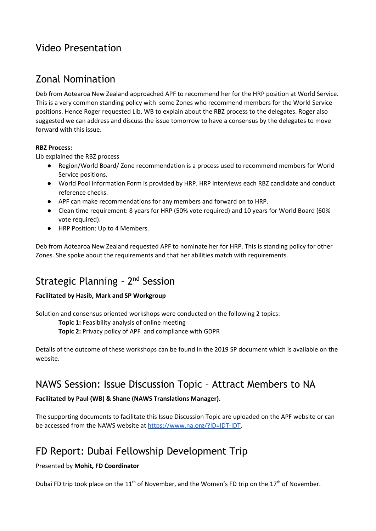## Video Presentation

### Zonal Nomination

Deb from Aotearoa New Zealand approached APF to recommend her for the HRP position at World Service. This is a very common standing policy with some Zones who recommend members for the World Service positions. Hence Roger requested Lib, WB to explain about the RBZ process to the delegates. Roger also suggested we can address and discuss the issue tomorrow to have a consensus by the delegates to move forward with this issue.

### **RBZ Process:**

Lib explained the RBZ process

- Region/World Board/ Zone recommendation is a process used to recommend members for World Service positions.
- World Pool Information Form is provided by HRP. HRP interviews each RBZ candidate and conduct reference checks.
- APF can make recommendations for any members and forward on to HRP.
- Clean time requirement: 8 years for HRP (50% vote required) and 10 years for World Board (60% vote required).
- HRP Position: Up to 4 Members.

Deb from Aotearoa New Zealand requested APF to nominate her for HRP. This is standing policy for other Zones. She spoke about the requirements and that her abilities match with requirements.

## Strategic Planning - 2<sup>nd</sup> Session

### **Facilitated by Hasib, Mark and SP Workgroup**

Solution and consensus oriented workshops were conducted on the following 2 topics:

**Topic 1:** Feasibility analysis of online meeting

**Topic 2:** Privacy policy of APF and compliance with GDPR

Details of the outcome of these workshops can be found in the 2019 SP document which is available on the website.

### NAWS Session: Issue Discussion Topic – Attract Members to NA

### **Facilitated by Paul (WB) & Shane (NAWS Translations Manager).**

The supporting documents to facilitate this Issue Discussion Topic are uploaded on the APF website or can be accessed from the NAWS website at <https://www.na.org/?ID=IDT-IDT>.

## FD Report: Dubai Fellowship Development Trip

### Presented by **Mohit, FD Coordinator**

Dubai FD trip took place on the 11<sup>th</sup> of November, and the Women's FD trip on the 17<sup>th</sup> of November.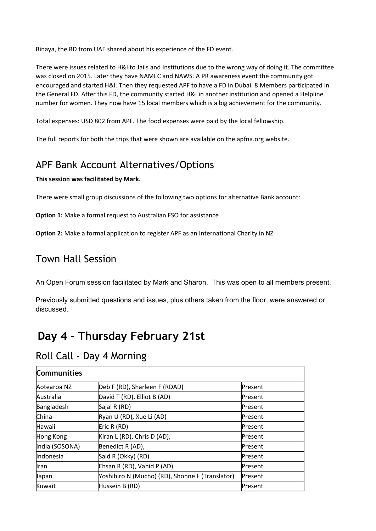Binaya, the RD from UAE shared about his experience of the FD event.

There were issues related to H&I to Jails and Institutions due to the wrong way of doing it. The committee was closed on 2015. Later they have NAMEC and NAWS. A PR awareness event the community got encouraged and started H&I. Then they requested APF to have a FD in Dubai. 8 Members participated in the General FD. After this FD, the community started H&I in another institution and opened a Helpline number for women. They now have 15 local members which is a big achievement for the community.

Total expenses: USD 802 from APF. The food expenses were paid by the local fellowship.

The full reports for both the trips that were shown are available on the apfna.org website.

### APF Bank Account Alternatives/Options

### **This session was facilitated by Mark.**

There were small group discussions of the following two options for alternative Bank account:

**Option 1:** Make a formal request to Australian FSO for assistance

**Option 2:** Make a formal application to register APF as an International Charity in NZ

### Town Hall Session

An Open Forum session facilitated by Mark and Sharon. This was open to all members present.

Previously submitted questions and issues, plus others taken from the floor, were answered or discussed.

# **Day 4 - Thursday February 21st**

### Roll Call - Day 4 Morning

| <b>Communities</b> |                                                 |         |
|--------------------|-------------------------------------------------|---------|
| Aotearoa NZ        | Deb F (RD), Sharleen F (RDAD)                   | Present |
| Australia          | David T (RD), Elliot B (AD)                     | Present |
| Bangladesh         | Sajal R (RD)                                    | Present |
| China              | Ryan U (RD), Xue Li (AD)                        | Present |
| Hawaii             | Eric R (RD)                                     | Present |
| Hong Kong          | Kiran L (RD), Chris D (AD),                     | Present |
| India (SOSONA)     | Benedict R (AD),                                | Present |
| Indonesia          | Said R (Okky) (RD)                              | Present |
| <b>I</b> ran       | Ehsan R (RD), Vahid P (AD)                      | Present |
| Japan              | Yoshihiro N (Mucho) (RD), Shonne F (Translator) | Present |
| Kuwait             | Hussein B (RD)                                  | Present |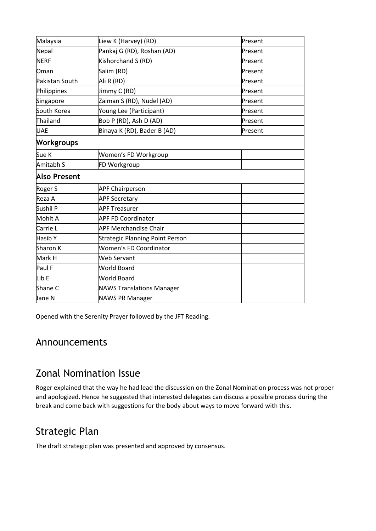| Malaysia            | Liew K (Harvey) (RD)                   | Present |
|---------------------|----------------------------------------|---------|
| Nepal               | Pankaj G (RD), Roshan (AD)             | Present |
| <b>NERF</b>         | Kishorchand S (RD)                     | Present |
| Oman                | Salim (RD)                             | Present |
| Pakistan South      | Ali R (RD)                             | Present |
| Philippines         | Jimmy C (RD)                           | Present |
| Singapore           | Zaiman S (RD), Nudel (AD)              | Present |
| South Korea         | Young Lee (Participant)                | Present |
| Thailand            | Bob P (RD), Ash D (AD)                 | Present |
| <b>UAE</b>          | Binaya K (RD), Bader B (AD)            | Present |
| <b>Workgroups</b>   |                                        |         |
| Sue K               | Women's FD Workgroup                   |         |
| Amitabh S           | FD Workgroup                           |         |
| <b>Also Present</b> |                                        |         |
| Roger S             | <b>APF Chairperson</b>                 |         |
| Reza A              | <b>APF Secretary</b>                   |         |
| Sushil P            | <b>APF Treasurer</b>                   |         |
| Mohit A             | <b>APF FD Coordinator</b>              |         |
| Carrie L            | <b>APF Merchandise Chair</b>           |         |
| Hasib Y             | <b>Strategic Planning Point Person</b> |         |
| Sharon K            | Women's FD Coordinator                 |         |
| Mark H              | Web Servant                            |         |
| Paul F              | <b>World Board</b>                     |         |
| Lib E               | <b>World Board</b>                     |         |
| Shane C             | <b>NAWS Translations Manager</b>       |         |
| Jane N              | <b>NAWS PR Manager</b>                 |         |
|                     |                                        |         |

Opened with the Serenity Prayer followed by the JFT Reading.

### Announcements

## Zonal Nomination Issue

Roger explained that the way he had lead the discussion on the Zonal Nomination process was not proper and apologized. Hence he suggested that interested delegates can discuss a possible process during the break and come back with suggestions for the body about ways to move forward with this.

## Strategic Plan

The draft strategic plan was presented and approved by consensus.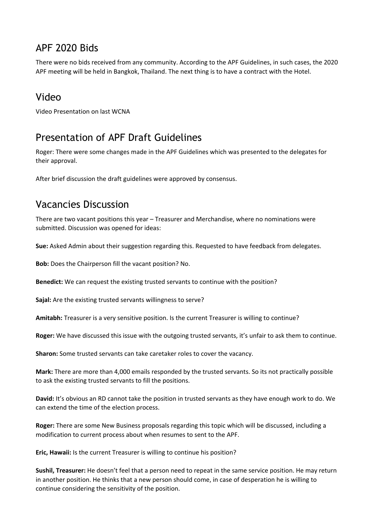## APF 2020 Bids

There were no bids received from any community. According to the APF Guidelines, in such cases, the 2020 APF meeting will be held in Bangkok, Thailand. The next thing is to have a contract with the Hotel.

## Video

Video Presentation on last WCNA

### Presentation of APF Draft Guidelines

Roger: There were some changes made in the APF Guidelines which was presented to the delegates for their approval.

After brief discussion the draft guidelines were approved by consensus.

### Vacancies Discussion

There are two vacant positions this year – Treasurer and Merchandise, where no nominations were submitted. Discussion was opened for ideas:

**Sue:** Asked Admin about their suggestion regarding this. Requested to have feedback from delegates.

**Bob:** Does the Chairperson fill the vacant position? No.

**Benedict:** We can request the existing trusted servants to continue with the position?

**Sajal:** Are the existing trusted servants willingness to serve?

**Amitabh:** Treasurer is a very sensitive position. Is the current Treasurer is willing to continue?

**Roger:** We have discussed this issue with the outgoing trusted servants, it's unfair to ask them to continue.

**Sharon:** Some trusted servants can take caretaker roles to cover the vacancy.

**Mark:** There are more than 4,000 emails responded by the trusted servants. So its not practically possible to ask the existing trusted servants to fill the positions.

**David:** It's obvious an RD cannot take the position in trusted servants as they have enough work to do. We can extend the time of the election process.

**Roger:** There are some New Business proposals regarding this topic which will be discussed, including a modification to current process about when resumes to sent to the APF.

**Eric, Hawaii:** Is the current Treasurer is willing to continue his position?

**Sushil, Treasurer:** He doesn't feel that a person need to repeat in the same service position. He may return in another position. He thinks that a new person should come, in case of desperation he is willing to continue considering the sensitivity of the position.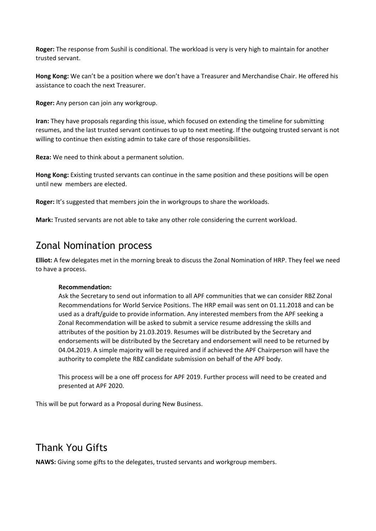**Roger:** The response from Sushil is conditional. The workload is very is very high to maintain for another trusted servant.

**Hong Kong:** We can't be a position where we don't have a Treasurer and Merchandise Chair. He offered his assistance to coach the next Treasurer.

**Roger:** Any person can join any workgroup.

**Iran:** They have proposals regarding this issue, which focused on extending the timeline for submitting resumes, and the last trusted servant continues to up to next meeting. If the outgoing trusted servant is not willing to continue then existing admin to take care of those responsibilities.

**Reza:** We need to think about a permanent solution.

**Hong Kong:** Existing trusted servants can continue in the same position and these positions will be open until new members are elected.

**Roger:** It's suggested that members join the in workgroups to share the workloads.

**Mark:** Trusted servants are not able to take any other role considering the current workload.

### Zonal Nomination process

**Elliot:** A few delegates met in the morning break to discuss the Zonal Nomination of HRP. They feel we need to have a process.

#### **Recommendation:**

Ask the Secretary to send out information to all APF communities that we can consider RBZ Zonal Recommendations for World Service Positions. The HRP email was sent on 01.11.2018 and can be used as a draft/guide to provide information. Any interested members from the APF seeking a Zonal Recommendation will be asked to submit a service resume addressing the skills and attributes of the position by 21.03.2019. Resumes will be distributed by the Secretary and endorsements will be distributed by the Secretary and endorsement will need to be returned by 04.04.2019. A simple majority will be required and if achieved the APF Chairperson will have the authority to complete the RBZ candidate submission on behalf of the APF body.

This process will be a one off process for APF 2019. Further process will need to be created and presented at APF 2020.

This will be put forward as a Proposal during New Business.

### Thank You Gifts

**NAWS:** Giving some gifts to the delegates, trusted servants and workgroup members.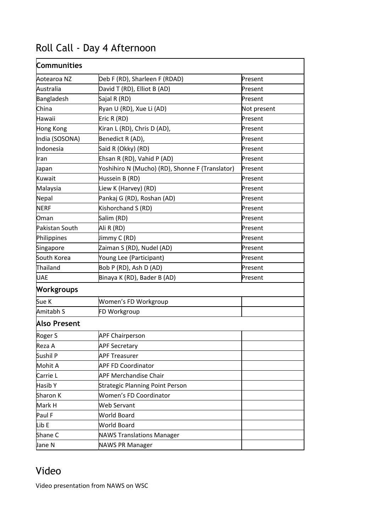# Roll Call - Day 4 Afternoon

| Communities         |                                                 |             |  |
|---------------------|-------------------------------------------------|-------------|--|
| Aotearoa NZ         | Deb F (RD), Sharleen F (RDAD)                   | Present     |  |
| Australia           | David T (RD), Elliot B (AD)                     | Present     |  |
| Bangladesh          | Sajal R (RD)                                    | Present     |  |
| China               | Ryan U (RD), Xue Li (AD)                        | Not present |  |
| Hawaii              | Eric R (RD)                                     | Present     |  |
| Hong Kong           | Kiran L (RD), Chris D (AD),                     | Present     |  |
| India (SOSONA)      | Benedict R (AD),                                | Present     |  |
| Indonesia           | Said R (Okky) (RD)                              | Present     |  |
| Iran                | Ehsan R (RD), Vahid P (AD)                      | Present     |  |
| Japan               | Yoshihiro N (Mucho) (RD), Shonne F (Translator) | Present     |  |
| Kuwait              | Hussein B (RD)                                  | Present     |  |
| Malaysia            | Liew K (Harvey) (RD)                            | Present     |  |
| Nepal               | Pankaj G (RD), Roshan (AD)                      | Present     |  |
| <b>NERF</b>         | Kishorchand S (RD)                              | Present     |  |
| Oman                | Salim (RD)                                      | Present     |  |
| Pakistan South      | Ali R (RD)                                      | Present     |  |
| Philippines         | Jimmy C (RD)                                    | Present     |  |
| Singapore           | Zaiman S (RD), Nudel (AD)                       | Present     |  |
| South Korea         | Young Lee (Participant)                         | Present     |  |
| Thailand            | Bob P (RD), Ash D (AD)                          | Present     |  |
| <b>UAE</b>          | Binaya K (RD), Bader B (AD)                     | Present     |  |
| <b>Workgroups</b>   |                                                 |             |  |
| Sue K               | Women's FD Workgroup                            |             |  |
| Amitabh S           | FD Workgroup                                    |             |  |
| <b>Also Present</b> |                                                 |             |  |
| Roger S             | <b>APF Chairperson</b>                          |             |  |
| Reza A              | <b>APF Secretary</b>                            |             |  |
| Sushil P            | <b>APF Treasurer</b>                            |             |  |
| Mohit A             | <b>APF FD Coordinator</b>                       |             |  |
| Carrie L            | <b>APF Merchandise Chair</b>                    |             |  |
| Hasib Y             | <b>Strategic Planning Point Person</b>          |             |  |
| Sharon K            | <b>Women's FD Coordinator</b>                   |             |  |
| Mark H              | <b>Web Servant</b>                              |             |  |
| Paul F              | World Board                                     |             |  |
| Lib E               | World Board                                     |             |  |
| Shane C             | <b>NAWS Translations Manager</b>                |             |  |
| Jane N              | <b>NAWS PR Manager</b>                          |             |  |

## Video

Video presentation from NAWS on WSC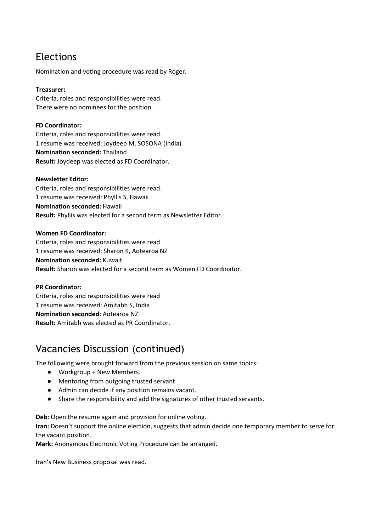### Elections

Nomination and voting procedure was read by Roger.

#### **Treasurer:**

Criteria, roles and responsibilities were read. There were no nominees for the position.

#### **FD Coordinator:**

Criteria, roles and responsibilities were read. 1 resume was received: Joydeep M, SOSONA (India) **Nomination seconded:** Thailand **Result:** Joydeep was elected as FD Coordinator.

#### **Newsletter Editor:**

Criteria, roles and responsibilities were read. 1 resume was received: Phyllis S, Hawaii **Nomination seconded:** Hawaii **Result:** Phyllis was elected for a second term as Newsletter Editor.

#### **Women FD Coordinator:**

Criteria, roles and responsibilities were read 1 resume was received: Sharon K, Aotearoa NZ **Nomination seconded:** Kuwait **Result:** Sharon was elected for a second term as Women FD Coordinator.

#### **PR Coordinator:**

Criteria, roles and responsibilities were read 1 resume was received: Amitabh S, India **Nomination seconded:** Aotearoa NZ **Result:** Amitabh was elected as PR Coordinator.

### Vacancies Discussion (continued)

The following were brought forward from the previous session on same topics:

- Workgroup + New Members.
- Mentoring from outgoing trusted servant
- Admin can decide if any position remains vacant.
- Share the responsibility and add the signatures of other trusted servants.

**Deb:** Open the resume again and provision for online voting.

**Iran:** Doesn't support the online election, suggests that admin decide one temporary member to serve for the vacant position.

**Mark:** Anonymous Electronic Voting Procedure can be arranged.

Iran's New Business proposal was read.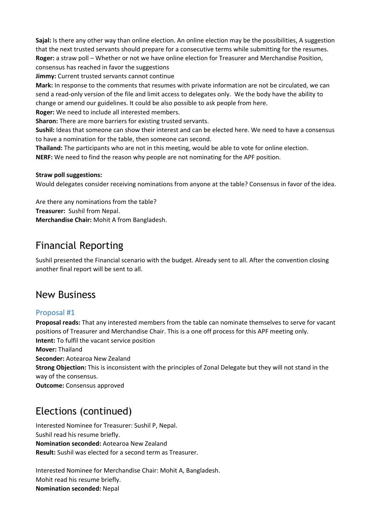**Sajal:** Is there any other way than online election. An online election may be the possibilities, A suggestion that the next trusted servants should prepare for a consecutive terms while submitting for the resumes. **Roger:** a straw poll – Whether or not we have online election for Treasurer and Merchandise Position, consensus has reached in favor the suggestions

**Jimmy:** Current trusted servants cannot continue

**Mark:** In response to the comments that resumes with private information are not be circulated, we can send a read-only version of the file and limit access to delegates only. We the body have the ability to change or amend our guidelines. It could be also possible to ask people from here.

**Roger:** We need to include all interested members.

**Sharon:** There are more barriers for existing trusted servants.

**Sushil:** Ideas that someone can show their interest and can be elected here. We need to have a consensus to have a nomination for the table, then someone can second.

**Thailand:** The participants who are not in this meeting, would be able to vote for online election. **NERF:** We need to find the reason why people are not nominating for the APF position.

#### **Straw poll suggestions:**

Would delegates consider receiving nominations from anyone at the table? Consensus in favor of the idea.

Are there any nominations from the table? **Treasurer:** Sushil from Nepal. **Merchandise Chair:** Mohit A from Bangladesh.

### Financial Reporting

Sushil presented the Financial scenario with the budget. Already sent to all. After the convention closing another final report will be sent to all.

### New Business

### Proposal #1

**Proposal reads:** That any interested members from the table can nominate themselves to serve for vacant positions of Treasurer and Merchandise Chair. This is a one off process for this APF meeting only. **Intent:** To fulfil the vacant service position **Mover:** Thailand **Seconder:** Aotearoa New Zealand **Strong Objection:** This is inconsistent with the principles of Zonal Delegate but they will not stand in the way of the consensus. **Outcome:** Consensus approved

## Elections (continued)

Interested Nominee for Treasurer: Sushil P, Nepal. Sushil read his resume briefly. **Nomination seconded:** Aotearoa New Zealand **Result:** Sushil was elected for a second term as Treasurer.

Interested Nominee for Merchandise Chair: Mohit A, Bangladesh. Mohit read his resume briefly. **Nomination seconded:** Nepal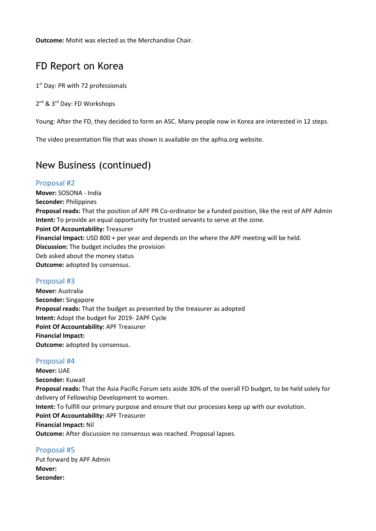**Outcome:** Mohit was elected as the Merchandise Chair.

### FD Report on Korea

1<sup>st</sup> Day: PR with 72 professionals

2<sup>nd</sup> & 3<sup>rd</sup> Day: FD Workshops

Young: After the FD, they decided to form an ASC. Many people now in Korea are interested in 12 steps.

The video presentation file that was shown is available on the apfna.org website.

### New Business (continued)

### Proposal #2

**Mover:** SOSONA - India **Seconder:** Philippines **Proposal reads:** That the position of APF PR Co-ordinator be a funded position, like the rest of APF Admin **Intent:** To provide an equal opportunity for trusted servants to serve at the zone. **Point Of Accountability:** Treasurer **Financial Impact:** USD 800 + per year and depends on the where the APF meeting will be held. **Discussion:** The budget includes the provision Deb asked about the money status **Outcome:** adopted by consensus.

### Proposal #3

**Mover:** Australia **Seconder:** Singapore **Proposal reads:** That the budget as presented by the treasurer as adopted **Intent:** Adopt the budget for 2019- 2APF Cycle **Point Of Accountability:** APF Treasurer **Financial Impact: Outcome:** adopted by consensus.

### Proposal #4

**Mover:** UAE **Seconder:** Kuwait **Proposal reads:** That the Asia Pacific Forum sets aside 30% of the overall FD budget, to be held solely for delivery of Fellowship Development to women. **Intent:** To fulfill our primary purpose and ensure that our processes keep up with our evolution. **Point Of Accountability:** APF Treasurer **Financial Impact:** Nil **Outcome:** After discussion no consensus was reached. Proposal lapses.

Proposal #5 Put forward by APF Admin **Mover: Seconder:**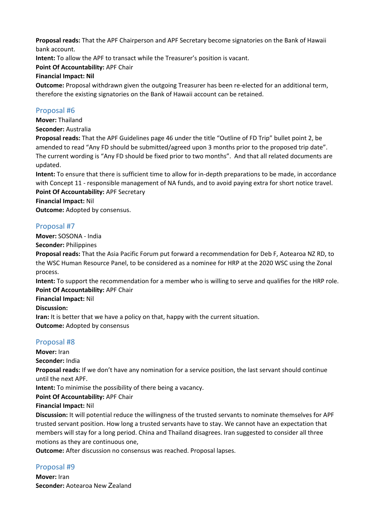**Proposal reads:** That the APF Chairperson and APF Secretary become signatories on the Bank of Hawaii bank account.

**Intent:** To allow the APF to transact while the Treasurer's position is vacant.

**Point Of Accountability:** APF Chair

#### **Financial Impact: Nil**

**Outcome:** Proposal withdrawn given the outgoing Treasurer has been re-elected for an additional term, therefore the existing signatories on the Bank of Hawaii account can be retained.

### Proposal #6

**Mover:** Thailand

**Seconder:** Australia

**Proposal reads:** That the APF Guidelines page 46 under the title "Outline of FD Trip" bullet point 2, be amended to read "Any FD should be submitted/agreed upon 3 months prior to the proposed trip date". The current wording is "Any FD should be fixed prior to two months". And that all related documents are updated.

**Intent:** To ensure that there is sufficient time to allow for in-depth preparations to be made, in accordance with Concept 11 - responsible management of NA funds, and to avoid paying extra for short notice travel.

**Point Of Accountability:** APF Secretary

**Financial Impact:** Nil

**Outcome:** Adopted by consensus.

### Proposal #7

**Mover:** SOSONA - India

**Seconder:** Philippines

**Proposal reads:** That the Asia Pacific Forum put forward a recommendation for Deb F, Aotearoa NZ RD, to the WSC Human Resource Panel, to be considered as a nominee for HRP at the 2020 WSC using the Zonal process.

**Intent:** To support the recommendation for a member who is willing to serve and qualifies for the HRP role. **Point Of Accountability:** APF Chair

**Financial Impact:** Nil

**Discussion:**

**Iran:** It is better that we have a policy on that, happy with the current situation. **Outcome:** Adopted by consensus

### Proposal #8

**Mover:** Iran

**Seconder:** India

**Proposal reads:** If we don't have any nomination for a service position, the last servant should continue until the next APF.

**Intent:** To minimise the possibility of there being a vacancy.

**Point Of Accountability:** APF Chair

### **Financial Impact:** Nil

**Discussion:** It will potential reduce the willingness of the trusted servants to nominate themselves for APF trusted servant position. How long a trusted servants have to stay. We cannot have an expectation that members will stay for a long period. China and Thailand disagrees. Iran suggested to consider all three motions as they are continuous one,

**Outcome:** After discussion no consensus was reached. Proposal lapses.

### Proposal #9

**Mover:** Iran **Seconder:** Aotearoa New Zealand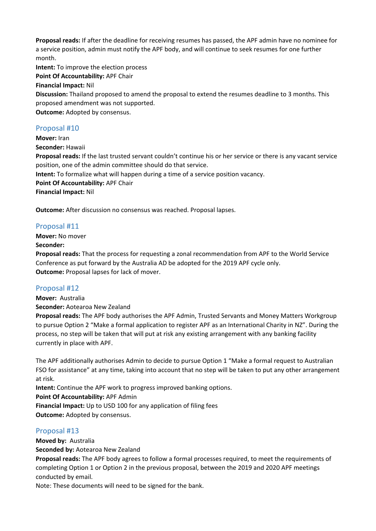**Proposal reads:** If after the deadline for receiving resumes has passed, the APF admin have no nominee for a service position, admin must notify the APF body, and will continue to seek resumes for one further month.

**Intent:** To improve the election process

**Point Of Accountability:** APF Chair

**Financial Impact:** Nil

**Discussion:** Thailand proposed to amend the proposal to extend the resumes deadline to 3 months. This proposed amendment was not supported.

**Outcome:** Adopted by consensus.

### Proposal #10

**Mover:** Iran **Seconder:** Hawaii **Proposal reads:** If the last trusted servant couldn't continue his or her service or there is any vacant service position, one of the admin committee should do that service. **Intent:** To formalize what will happen during a time of a service position vacancy. **Point Of Accountability:** APF Chair **Financial Impact:** Nil

**Outcome:** After discussion no consensus was reached. Proposal lapses.

### Proposal #11

**Mover:** No mover

### **Seconder:**

**Proposal reads:** That the process for requesting a zonal recommendation from APF to the World Service Conference as put forward by the Australia AD be adopted for the 2019 APF cycle only. **Outcome:** Proposal lapses for lack of mover.

### Proposal #12

**Mover:** Australia

**Seconder:** Aotearoa New Zealand

**Proposal reads:** The APF body authorises the APF Admin, Trusted Servants and Money Matters Workgroup to pursue Option 2 "Make a formal application to register APF as an International Charity in NZ". During the process, no step will be taken that will put at risk any existing arrangement with any banking facility currently in place with APF.

The APF additionally authorises Admin to decide to pursue Option 1 "Make a formal request to Australian FSO for assistance" at any time, taking into account that no step will be taken to put any other arrangement at risk.

**Intent:** Continue the APF work to progress improved banking options.

**Point Of Accountability:** APF Admin

**Financial Impact:** Up to USD 100 for any application of filing fees **Outcome:** Adopted by consensus.

### Proposal #13

**Moved by:** Australia

**Seconded by:** Aotearoa New Zealand

**Proposal reads:** The APF body agrees to follow a formal processes required, to meet the requirements of completing Option 1 or Option 2 in the previous proposal, between the 2019 and 2020 APF meetings conducted by email.

Note: These documents will need to be signed for the bank.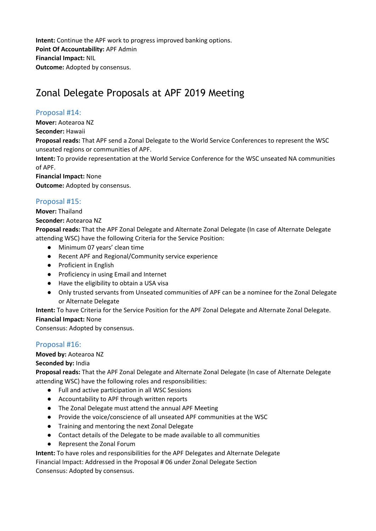**Intent:** Continue the APF work to progress improved banking options. **Point Of Accountability:** APF Admin **Financial Impact:** NIL **Outcome:** Adopted by consensus.

## Zonal Delegate Proposals at APF 2019 Meeting

### Proposal #14:

**Mover:** Aotearoa NZ

**Seconder:** Hawaii

**Proposal reads:** That APF send a Zonal Delegate to the World Service Conferences to represent the WSC unseated regions or communities of APF.

**Intent:** To provide representation at the World Service Conference for the WSC unseated NA communities of APF.

**Financial Impact:** None **Outcome:** Adopted by consensus.

### Proposal #15:

**Mover:** Thailand

**Seconder:** Aotearoa NZ

**Proposal reads:** That the APF Zonal Delegate and Alternate Zonal Delegate (In case of Alternate Delegate attending WSC) have the following Criteria for the Service Position:

- Minimum 07 years' clean time
- Recent APF and Regional/Community service experience
- Proficient in English
- Proficiency in using Email and Internet
- Have the eligibility to obtain a USA visa
- Only trusted servants from Unseated communities of APF can be a nominee for the Zonal Delegate or Alternate Delegate

**Intent:** To have Criteria for the Service Position for the APF Zonal Delegate and Alternate Zonal Delegate.

### **Financial Impact:** None

Consensus: Adopted by consensus.

### Proposal #16:

### **Moved by:** Aotearoa NZ

### **Seconded by:** India

**Proposal reads:** That the APF Zonal Delegate and Alternate Zonal Delegate (In case of Alternate Delegate attending WSC) have the following roles and responsibilities:

- Full and active participation in all WSC Sessions
- Accountability to APF through written reports
- The Zonal Delegate must attend the annual APF Meeting
- Provide the voice/conscience of all unseated APF communities at the WSC
- Training and mentoring the next Zonal Delegate
- Contact details of the Delegate to be made available to all communities
- Represent the Zonal Forum

**Intent:** To have roles and responsibilities for the APF Delegates and Alternate Delegate Financial Impact: Addressed in the Proposal # 06 under Zonal Delegate Section Consensus: Adopted by consensus.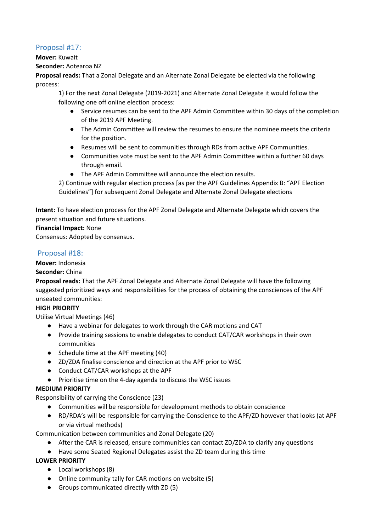### Proposal #17:

#### **Mover:** Kuwait

#### **Seconder:** Aotearoa NZ

**Proposal reads:** That a Zonal Delegate and an Alternate Zonal Delegate be elected via the following process:

1) For the next Zonal Delegate (2019-2021) and Alternate Zonal Delegate it would follow the following one off online election process:

- Service resumes can be sent to the APF Admin Committee within 30 days of the completion of the 2019 APF Meeting.
- The Admin Committee will review the resumes to ensure the nominee meets the criteria for the position.
- Resumes will be sent to communities through RDs from active APF Communities.
- Communities vote must be sent to the APF Admin Committee within a further 60 days through email.
- The APF Admin Committee will announce the election results.

2) Continue with regular election process [as per the APF Guidelines Appendix B: "APF Election Guidelines"] for subsequent Zonal Delegate and Alternate Zonal Delegate elections

**Intent:** To have election process for the APF Zonal Delegate and Alternate Delegate which covers the present situation and future situations.

### **Financial Impact:** None

Consensus: Adopted by consensus.

### Proposal #18:

### **Mover:** Indonesia

### **Seconder:** China

**Proposal reads:** That the APF Zonal Delegate and Alternate Zonal Delegate will have the following suggested prioritized ways and responsibilities for the process of obtaining the consciences of the APF unseated communities:

### **HIGH PRIORITY**

Utilise Virtual Meetings (46)

- Have a webinar for delegates to work through the CAR motions and CAT
- Provide training sessions to enable delegates to conduct CAT/CAR workshops in their own communities
- Schedule time at the APF meeting (40)
- ZD/ZDA finalise conscience and direction at the APF prior to WSC
- Conduct CAT/CAR workshops at the APF
- Prioritise time on the 4-day agenda to discuss the WSC issues

### **MEDIUM PRIORITY**

Responsibility of carrying the Conscience (23)

- Communities will be responsible for development methods to obtain conscience
- RD/RDA's will be responsible for carrying the Conscience to the APF/ZD however that looks (at APF or via virtual methods)

Communication between communities and Zonal Delegate (20)

- After the CAR is released, ensure communities can contact ZD/ZDA to clarify any questions
- Have some Seated Regional Delegates assist the ZD team during this time

### **LOWER PRIORITY**

- Local workshops (8)
- Online community tally for CAR motions on website (5)
- Groups communicated directly with ZD (5)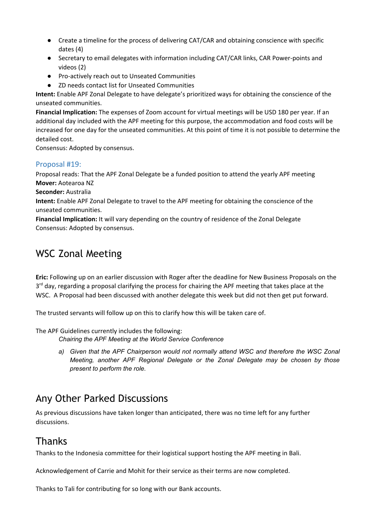- Create a timeline for the process of delivering CAT/CAR and obtaining conscience with specific dates (4)
- Secretary to email delegates with information including CAT/CAR links, CAR Power-points and videos (2)
- Pro-actively reach out to Unseated Communities
- ZD needs contact list for Unseated Communities

**Intent:** Enable APF Zonal Delegate to have delegate's prioritized ways for obtaining the conscience of the unseated communities.

**Financial Implication:** The expenses of Zoom account for virtual meetings will be USD 180 per year. If an additional day included with the APF meeting for this purpose, the accommodation and food costs will be increased for one day for the unseated communities. At this point of time it is not possible to determine the detailed cost.

Consensus: Adopted by consensus.

### Proposal #19:

Proposal reads: That the APF Zonal Delegate be a funded position to attend the yearly APF meeting **Mover:** Aotearoa NZ

**Seconder:** Australia

**Intent:** Enable APF Zonal Delegate to travel to the APF meeting for obtaining the conscience of the unseated communities.

**Financial Implication:** It will vary depending on the country of residence of the Zonal Delegate Consensus: Adopted by consensus.

### WSC Zonal Meeting

**Eric:** Following up on an earlier discussion with Roger after the deadline for New Business Proposals on the 3<sup>rd</sup> day, regarding a proposal clarifying the process for chairing the APF meeting that takes place at the WSC. A Proposal had been discussed with another delegate this week but did not then get put forward.

The trusted servants will follow up on this to clarify how this will be taken care of.

The APF Guidelines currently includes the following:

*Chairing the APF Meeting at the World Service Conference*

*a) Given that the APF Chairperson would not normally attend WSC and therefore the WSC Zonal Meeting, another APF Regional Delegate or the Zonal Delegate may be chosen by those present to perform the role.*

## Any Other Parked Discussions

As previous discussions have taken longer than anticipated, there was no time left for any further discussions.

### Thanks

Thanks to the Indonesia committee for their logistical support hosting the APF meeting in Bali.

Acknowledgement of Carrie and Mohit for their service as their terms are now completed.

Thanks to Tali for contributing for so long with our Bank accounts.